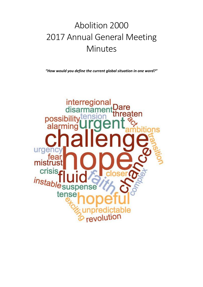# Abolition 2000 2017 Annual General Meeting Minutes

*"How would you define the current global situation in one word?"*

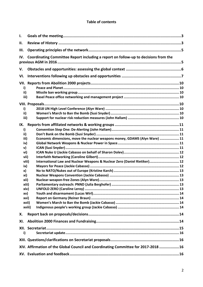#### **Table of contents**

| н.<br>Ш.<br>Coordinating Committee Report including a report on follow-up to decisions from the<br>IV.<br>V.<br>VI.<br>VII.<br>i)<br>ii)<br>iii)<br>i)<br>ii)<br>iii)<br>IX.<br>i)<br>ii)<br>Economic dimensions, move the nuclear weapons money, GDAMS (Alyn Ware)  11<br>iii)<br>iv)<br>v)<br>vi)<br>vii)<br>International Law and Nuclear Weapons & Nuclear Zero (Daniel Rietiker) 12<br>viii)<br>ix)<br>x)<br>xi)<br>xii)<br>xiii)<br>xiv)<br>xv)<br>xvi)<br>xvii)<br>xviii)<br>Х.<br>XI.<br>i)<br>XIV. Affirmation of the Global Council and Coordinating Committee for 2017-2018 16 | Ι. |  |  |  |  |
|-------------------------------------------------------------------------------------------------------------------------------------------------------------------------------------------------------------------------------------------------------------------------------------------------------------------------------------------------------------------------------------------------------------------------------------------------------------------------------------------------------------------------------------------------------------------------------------------|----|--|--|--|--|
|                                                                                                                                                                                                                                                                                                                                                                                                                                                                                                                                                                                           |    |  |  |  |  |
|                                                                                                                                                                                                                                                                                                                                                                                                                                                                                                                                                                                           |    |  |  |  |  |
|                                                                                                                                                                                                                                                                                                                                                                                                                                                                                                                                                                                           |    |  |  |  |  |
|                                                                                                                                                                                                                                                                                                                                                                                                                                                                                                                                                                                           |    |  |  |  |  |
|                                                                                                                                                                                                                                                                                                                                                                                                                                                                                                                                                                                           |    |  |  |  |  |
|                                                                                                                                                                                                                                                                                                                                                                                                                                                                                                                                                                                           |    |  |  |  |  |
|                                                                                                                                                                                                                                                                                                                                                                                                                                                                                                                                                                                           |    |  |  |  |  |
|                                                                                                                                                                                                                                                                                                                                                                                                                                                                                                                                                                                           |    |  |  |  |  |
|                                                                                                                                                                                                                                                                                                                                                                                                                                                                                                                                                                                           |    |  |  |  |  |
|                                                                                                                                                                                                                                                                                                                                                                                                                                                                                                                                                                                           |    |  |  |  |  |
|                                                                                                                                                                                                                                                                                                                                                                                                                                                                                                                                                                                           |    |  |  |  |  |
|                                                                                                                                                                                                                                                                                                                                                                                                                                                                                                                                                                                           |    |  |  |  |  |
|                                                                                                                                                                                                                                                                                                                                                                                                                                                                                                                                                                                           |    |  |  |  |  |
|                                                                                                                                                                                                                                                                                                                                                                                                                                                                                                                                                                                           |    |  |  |  |  |
|                                                                                                                                                                                                                                                                                                                                                                                                                                                                                                                                                                                           |    |  |  |  |  |
|                                                                                                                                                                                                                                                                                                                                                                                                                                                                                                                                                                                           |    |  |  |  |  |
|                                                                                                                                                                                                                                                                                                                                                                                                                                                                                                                                                                                           |    |  |  |  |  |
|                                                                                                                                                                                                                                                                                                                                                                                                                                                                                                                                                                                           |    |  |  |  |  |
|                                                                                                                                                                                                                                                                                                                                                                                                                                                                                                                                                                                           |    |  |  |  |  |
|                                                                                                                                                                                                                                                                                                                                                                                                                                                                                                                                                                                           |    |  |  |  |  |
|                                                                                                                                                                                                                                                                                                                                                                                                                                                                                                                                                                                           |    |  |  |  |  |
|                                                                                                                                                                                                                                                                                                                                                                                                                                                                                                                                                                                           |    |  |  |  |  |
|                                                                                                                                                                                                                                                                                                                                                                                                                                                                                                                                                                                           |    |  |  |  |  |
|                                                                                                                                                                                                                                                                                                                                                                                                                                                                                                                                                                                           |    |  |  |  |  |
|                                                                                                                                                                                                                                                                                                                                                                                                                                                                                                                                                                                           |    |  |  |  |  |
|                                                                                                                                                                                                                                                                                                                                                                                                                                                                                                                                                                                           |    |  |  |  |  |
|                                                                                                                                                                                                                                                                                                                                                                                                                                                                                                                                                                                           |    |  |  |  |  |
|                                                                                                                                                                                                                                                                                                                                                                                                                                                                                                                                                                                           |    |  |  |  |  |
|                                                                                                                                                                                                                                                                                                                                                                                                                                                                                                                                                                                           |    |  |  |  |  |
|                                                                                                                                                                                                                                                                                                                                                                                                                                                                                                                                                                                           |    |  |  |  |  |
|                                                                                                                                                                                                                                                                                                                                                                                                                                                                                                                                                                                           |    |  |  |  |  |
|                                                                                                                                                                                                                                                                                                                                                                                                                                                                                                                                                                                           |    |  |  |  |  |
|                                                                                                                                                                                                                                                                                                                                                                                                                                                                                                                                                                                           |    |  |  |  |  |
|                                                                                                                                                                                                                                                                                                                                                                                                                                                                                                                                                                                           |    |  |  |  |  |
|                                                                                                                                                                                                                                                                                                                                                                                                                                                                                                                                                                                           |    |  |  |  |  |
|                                                                                                                                                                                                                                                                                                                                                                                                                                                                                                                                                                                           |    |  |  |  |  |
|                                                                                                                                                                                                                                                                                                                                                                                                                                                                                                                                                                                           |    |  |  |  |  |
|                                                                                                                                                                                                                                                                                                                                                                                                                                                                                                                                                                                           |    |  |  |  |  |
|                                                                                                                                                                                                                                                                                                                                                                                                                                                                                                                                                                                           |    |  |  |  |  |
|                                                                                                                                                                                                                                                                                                                                                                                                                                                                                                                                                                                           |    |  |  |  |  |
|                                                                                                                                                                                                                                                                                                                                                                                                                                                                                                                                                                                           |    |  |  |  |  |
|                                                                                                                                                                                                                                                                                                                                                                                                                                                                                                                                                                                           |    |  |  |  |  |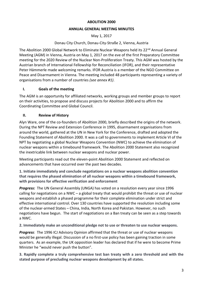#### **ABOLITION 2000**

#### **ANNUAL GENERAL MEETING MINUTES**

May 1, 2017

#### Donau City Church, Donau-City-Straße 2, Vienna, Austria

The Abolition 2000 Global Network to Eliminate Nuclear Weapons held its 22<sup>nd</sup> Annual General Meeting (AGM) in Vienna, Austria on May 1, 2017 on the eve of the first Preparatory Committee meeting for the 2020 Review of the Nuclear Non-Proliferation Treaty. This AGM was hosted by the Austrian branch of International Fellowship for Reconciliation (IFOR), and their representative Peter Hämmerle made welcoming remarks. IFOR Austria is a member of the NGO Committee on Peace and Disarmament in Vienna. The meeting included 48 participants representing a variety of organisations from a number of countries *(see annex #1)*.

#### **I. Goals of the meeting**

The AGM is an opportunity for affiliated networks, working groups and member groups to report on their activities, to propose and discuss projects for Abolition 2000 and to affirm the Coordinating Committee and Global Council.

#### **II. Review of History**

Alyn Ware, one of the co-founders of Abolition 2000, briefly described the origins of the network. During the NPT Review and Extension Conference in 1995, disarmament organisations from around the world, gathered at the UN in New York for the Conference, drafted and adopted the Founding Statement of Abolition 2000. It was a call to governments to implement Article VI of the NPT by negotiating a global Nuclear Weapons Convention (NWC) to achieve the elimination of nuclear weapons within a timebound framework. The Abolition 2000 Statement also recognized the inextricable link between nuclear weapons and nuclear power.

Meeting participants read out the eleven-point Abolition 2000 Statement and reflected on advancements that have occurred over the past two decades.

**1. Initiate immediately and conclude negotiations on a nuclear weapons abolition convention that requires the phased elimination of all nuclear weapons within a timebound framework, with provisions for effective verification and enforcement**

*Progress:* The UN General Assembly (UNGA) has voted on a resolution every year since 1996 calling for negotiations on a NWC – a global treaty that would prohibit the threat or use of nuclear weapons and establish a phased programme for their complete elimination under strict and effective international control. Over 130 countries have supported the resolution including some of the nuclear-armed States – China, India, North Korea and Pakistan. However, no such negotiations have begun. The start of negotiations on a Ban treaty can be seen as a step towards a NWC.

**2. Immediately make an unconditional pledge not to use or threaten to use nuclear weapons.**

*Progress*: The 1996 ICJ Advisory Opinion affirmed that the threat or use of nuclear weapons would be generally illegal. Discussion of a no first-use policy has been gaining traction in some quarters. As an example, the UK opposition leader has declared that if he were to become Prime Minister he "would never push the button".

**3. Rapidly complete a truly comprehensive test ban treaty with a zero threshold and with the stated purpose of precluding nuclear weapons development by all states.**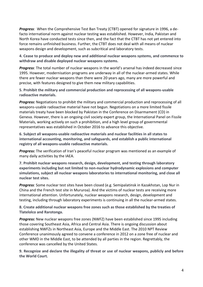*Progress:* When the Comprehensive Test Ban Treaty (CTBT) opened for signature in 1996, a defacto international norm against nuclear testing was established. However, India, Pakistan and North Korea have conducted tests since then, and the fact that the CTBT has not yet entered into force remains unfinished business. Further, the CTBT does not deal with all means of nuclear weapons design and development, such as subcritical and laboratory tests.

**4. Cease to produce and deploy new and additional nuclear weapons systems, and commence to withdraw and disable deployed nuclear weapons systems.**

*Progress*: The total number of nuclear weapons in the world's arsenal has indeed decreased since 1995. However, modernisation programs are underway in all of the nuclear-armed states. While there are fewer nuclear weapons than there were 20 years ago, many are more powerful and precise, with features designed to give them new military capabilities.

**5. Prohibit the military and commercial production and reprocessing of all weapons-usable radioactive materials.**

*Progress:* Negotiations to prohibit the military and commercial production and reprocessing of all weapons-usable radioactive material have not begun. Negotiations on a more limited fissile materials treaty have been blocked by Pakistan in the Conference on Disarmament (CD) in Geneva. However, there is an ongoing civil society expert group, the International Panel on Fissile Materials, working actively on such a prohibition, and a high level group of governmental representatives was established in October 2016 to advance this objective.

**6. Subject all weapons-usable radioactive materials and nuclear facilities in all states to international accounting, monitoring, and safeguards, and establish a public international registry of all weapons-usable radioactive materials.**

*Progress:* The verification of Iran's peaceful nuclear program was mentioned as an example of many daily activities by the IAEA.

**7. Prohibit nuclear weapons research, design, development, and testing through laboratory experiments including but not limited to non-nuclear hydrodynamic explosions and computer simulations, subject all nuclear weapons laboratories to international monitoring, and close all nuclear test sites.**

*Progress:* Some nuclear test sites have been closed (e.g. Semipalatinsk in Kazakhstan, Lop Nur in China and the French test site in Mururoa). And the victims of nuclear tests are receiving more international attention. Unfortunately, nuclear weapons research, design, development and testing, including through laboratory experiments is continuing in all the nuclear-armed states.

**8. Create additional nuclear weapons free zones such as those established by the treaties of Tlatelolco and Rarotonga.**

*Progress:* New nuclear weapons free zones (NWFZ) have been established since 1995 including those covering Southeast Asia, Africa and Central Asia. There is ongoing discussion about establishing NWFZs in Northeast Asia, Europe and the Middle East. The 2010 NPT Review Conference unanimously agreed to convene a conference in 2012 on a zone free of nuclear and other WMD in the Middle East, to be attended by all parties in the region. Regrettably, the conference was cancelled by the United States.

**9. Recognize and declare the illegality of threat or use of nuclear weapons, publicly and before the World Court.**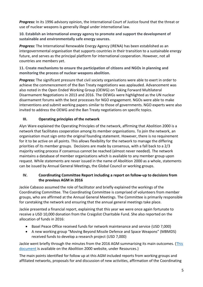*Progress:* In its 1996 advisory opinion, the International Court of Justice found that the threat or use of nuclear weapons is generally illegal under international law.

**10. Establish an international energy agency to promote and support the development of sustainable and environmentally safe energy sources.**

*Progress:* The International Renewable Energy Agency (IRENA) has been established as an intergovernmental organisation that supports countries in their transition to a sustainable energy future, and serves as the principal platform for international cooperation. However, not all countries are members yet.

**11. Create mechanisms to ensure the participation of citizens and NGOs in planning and monitoring the process of nuclear weapons abolition.**

**Progress:** The significant pressure that civil society organisations were able to exert in order to achieve the commencement of the Ban Treaty negotiations was applauded. Advancement was also noted in the Open Ended Working Group (OEWG) on Taking Forward Multilateral Disarmament Negotiations in 2013 and 2016. The OEWGs were highlighted as the UN nuclear disarmament forums with the best processes for NGO engagement. NGOs were able to make interventions and submit working papers similar to those of governments. NGO experts were also invited to address the OEWG and the Ban Treaty negotiations on specific topics.

#### **III. Operating principles of the network**

Alyn Ware explained the Operating Principles of the network, affirming that Abolition 2000 is a network that facilitates cooperation among its member organisations. To join the network, an organisation must sign onto the original founding statement. However, there is no requirement for it to be active on all points. This allows flexibility for the network to manage the differing priorities of its member groups. Decisions are made by consensus, with a fall back to a 2/3 majority voting process if consensus cannot be reached (almost never needed). The network maintains a database of member organizations which is available to any member group upon request. While statements are never issued in the name of Abolition 2000 as a whole, statements can be issued by Annual General Meetings, the Global Council or working groups.

#### **IV. Coordinating Committee Report including a report on follow-up to decisions from the previous AGM in 2016**

Jackie Cabasso assumed the role of facilitator and briefly explained the workings of the Coordinating Committee. The Coordinating Committee is comprised of volunteers from member groups, who are affirmed at the Annual General Meetings. The Committee is primarily responsible for caretaking the network and ensuring that the annual general meetings take place.

Jackie presented a financial report, explaining that this year we were once again fortunate to receive a USD 10,000 donation from the Craigslist Charitable Fund. She also reported on the allocation of funds in 2016:

- Basel Peace Office received funds for network maintenance and service (USD 7,000)
- A new working group "Moving Beyond Missile Defence and Space Weapons" (MBMDS) received funds to develop a research project (USD 7,000)

Jackie went briefly through the minutes from the 2016 AGM summarising its main outcomes. (This [document](http://www.abolition2000.org/wp-content/uploads/2008/11/AGM-Minutes-2016-1.pdf) is available on the Abolition 2000 website, under Resources.)

The main points identified for follow up at this AGM included reports from working groups and affiliated networks, proposals for and discussion of new activities, affirmation of the Coordinating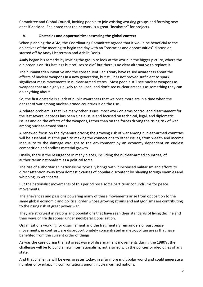Committee and Global Council, inviting people to join existing working groups and forming new ones if decided. She noted that the network is a great "incubator" for projects.

#### **V. Obstacles and opportunities: assessing the global context**

When planning the AGM, the Coordinating Committee agreed that it would be beneficial to the objectives of the meeting to begin the day with an "obstacles and opportunities" discussion started off by Andy Lichterman and Arielle Denis.

**Andy** began his remarks by inviting the group to look at the world in the bigger picture, where the old order is on "its last legs but refuses to die" but there is no clear alternative to replace it.

The humanitarian initiative and the consequent Ban Treaty have raised awareness about the effects of nuclear weapons in a new generation, but still has not proved sufficient to spark significant mass movements in nuclear-armed states. Most people still see nuclear weapons as weapons that are highly unlikely to be used, and don't see nuclear arsenals as something they can do anything about.

So, the first obstacle is a lack of public awareness that we once more are in a time when the danger of war among nuclear-armed countries is on the rise.

A related problem is that like many other issues, most work on arms control and disarmament for the last several decades has been single issue and focused on technical, legal, and diplomatic issues and on the effects of the weapons, rather than on the forces driving the rising risk of war among nuclear-armed states.

A renewed focus on the dynamics driving the growing risk of war among nuclear-armed countries will be essential. It's the path to making the connections to other issues, from wealth and income inequality to the damage wrought to the environment by an economy dependent on endless competition and endless material growth.

Finally, there is the resurgence in many places, including the nuclear-armed countries, of authoritarian nationalism as a political force.

The rise of authoritarian nationalisms typically brings with it increased militarism and efforts to direct attention away from domestic causes of popular discontent by blaming foreign enemies and whipping up war scares.

But the nationalist movements of this period pose some particular conundrums for peace movements.

The grievances and passions powering many of these movements arise from opposition to the same global economic and political order whose growing strains and antagonisms are contributing to the rising risk of great power war.

They are strongest in regions and populations that have seen their standards of living decline and their ways of life disappear under neoliberal globalization.

Organizations working for disarmament and the fragmentary remainders of past peace movements, in contrast, are disproportionately concentrated in metropolitan areas that have benefited from the current order of things.

As was the case during the last great wave of disarmament movements during the 1980's, the challenge will be to build a new internationalism, not aligned with the policies or ideologies of any state.

And that challenge will be even greater today, in a far more multipolar world and could generate a number of overlapping confrontations among nuclear-armed nations.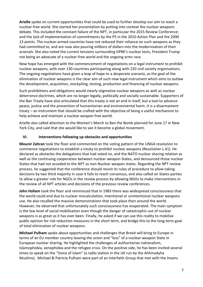**Arielle** spoke on current opportunities that could be used to further develop our aim to reach a nuclear-free world. She started her presentation by putting into context the nuclear weapons debate. This included the constant failure of the NPT, in particular the 2015 Review Conference; and the lack of implementation of commitments by the P5 in the 2010 Action Plan and the 2000 13 points. The nuclear-armed countries have not reduced their reliance on such weapons as they had committed to, and are now also pouring millions of dollars into the modernisation of their arsenals. She also noted the current tensions surrounding DPRK's nuclear tests, President Trump not being an advocate of a nuclear-free world and the ongoing arms race.

New hope has emerged with the commencement of negotiations on a legal instrument to prohibit nuclear weapons, with over 130 countries participating along with 220 civil society organisations. The ongoing negotiations have given a leap of hope to a desperate scenario, as the goal of the elimination of nuclear weapons is the clear aim of such new legal instrument which aims to outlaw the development, acquisition, stockpiling, testing, production and financing of nuclear weapons.

Such prohibitions and obligations would clearly stigmatise nuclear weapons as well as nuclear deterrence doctrines, which are no longer legally, politically and socially sustainable. Supporters of the Ban Treaty have also articulated that this treaty is not an end in itself, but a tool to advance peace, justice and the prevention of humanitarian and environmental harm. It is a disarmament treaty – an instrument that should be crafted with the objective of being a useful mechanism to help achieve and maintain a nuclear weapon free world.

Arielle also called attention to the Women's March to Ban the Bomb planned for June 17 in New York City, and said that she would like to see it become a global movement.

#### **VI. Interventions following up obstacles and opportunities**

**Mounir Zahran** took the floor and commented on the voting pattern of the UNGA resolution to commence negotiations to establish a treaty to prohibit nuclear weapons (Resolution L.41). He declared as obstacles the delegations that had voted no, and the NATO nuclear sharing relation as well as the continuing cooperation between nuclear-weapon States, and denounced those nuclear States that had not acceded to the NPT as non-Nuclear weapon states. Regarding the NPT review process, he suggested that the conference should revisit its rules of procedure to allow taking decisions by two third majority in case it fails to reach consensus, and also called on States parties to allow a greater role for NGOs in the review process by allowing NGOs to make interventions in the review of all NPT articles and decisions of the previous review conferences.

**John Hallam** took the floor and reminisced that in 1983 there was widespread consciousness that the world could end due to nuclear miscalculation, intentional or unintentional nuclear weapons use. He also recalled the massive demonstrations that took place then around the world. However, he observed that unfortunately such consciousness has evaporated. The main symptom is the low level of social mobilisation even though the danger of catastrophic use of nuclear weapons is as great as it has ever been. Finally, he asked if we can use this reality to mobilise public opinion for risk reduction measures in the short term, and bridge this to the long-term goal of total elimination of nuclear weapons.

**Michael Pulham** spoke about opportunities and challenges that Brexit will bring to Europe in terms of an EU member country leaving the union and "loss" of a nuclear-weapon State in European nuclear sharing. He highlighted the challenges of authoritarian nationalism, Islamophobia, xenophobia and the refugee crisis. On the positive side, he has been invited several times to speak on the "Voice of Islam" (a radio station in the UK run by the Ahhmadyha Muslims). Michael & Patricia Pulham were part of an Interfaith Group that met with the Imams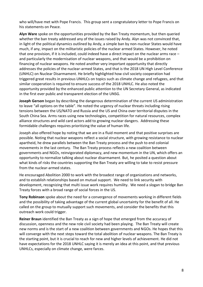who will/have met with Pope Francis. This group sent a congratulatory letter to Pope Francis on his statements on Peace.

**Alyn Ware** spoke on the opportunities provided by the Ban Treaty momentum, but then queried whether the ban treaty addressed any of the issues raised by Andy. Alyn was not convinced that, in light of the political dynamics outlined by Andy, a simple ban by non-nuclear States would have much, if any, impact on the militaristic policies of the nuclear armed States. However, he noted that one provision, if it is included, could indeed have a direct impact on the nuclear arms race – and particularly the modernisation of nuclear weapons, and that would be a prohibition on financing of nuclear weapons. He noted another very important opportunity that directly addresses the policies of the nuclear-armed States, and that is the 2018 UN High Level Conference (UNHLC) on Nuclear Disarmament. He briefly highlighted how civil society cooperation had triggered great results in previous UNHLCs on topics such as climate change and refugees, and that similar cooperation is required to ensure success of the 2018 UNHLC. He also noted the opportunity provided by the enhanced public attention to the UN Secretary General, as indicated in the first ever public and transparent election of the UNSG.

**Joseph Gerson** began by describing the dangerous determination of the current US administration to leave "all options on the table". He noted the urgency of nuclear threats including rising tensions between the US/NATO and Russia and the US and China over territorial disputes in the South China Sea. Arms races using new technologies, competition for natural resources, complex alliance structures and wild card actors add to growing nuclear dangers. Addressing these formidable challenges requires prioritizing the value of human life.

Joseph also offered hope by noting that we are in a fluid moment and that positive surprises are possible. Noting that nuclear weapons reflect a social structure, with growing resistance to nuclear apartheid, he drew parallels between the Ban Treaty process and the push to end colonial movements in the last century. The Ban Treaty process reflects a new coalition between governments and NGOs, reinvigorated diplomacy, and new momentum in the UN, which offers an opportunity to normalize talking about nuclear disarmament. But, he posited a question about what kinds of risks the countries supporting the Ban Treaty are willing to take to resist pressure from the nuclear-armed states.

He encouraged Abolition 2000 to work with the broadest range of organizations and networks, and to establish relationships based on mutual support. We need to link security with development, recognizing that multi issue work requires humility. We need a slogan to bridge Ban Treaty forces with a broad range of social forces in the US.

**Tony Robinson** spoke about the need for a convergence of movements working in different fields and the possibility of taking advantage of the current global uncertainty for the benefit of all. He called on the group to mutually support such movements, and consider the benefits that this outreach work could trigger.

**Reiner Braun** identified the Ban Treaty as a sign of hope that emerged from the accuracy of discussion, openness and the new role civil society had been playing. The Ban Treaty will create new norms and is the start of a new coalition between governments and NGOs. He hopes that this will converge with the next steps toward the total abolition of nuclear weapons. The Ban Treaty is the starting point, but it is crucial to reach for new and higher levels of achievement. He did not have expectations for the 2018 UNHLC saying it is merely an idea at this point, and that previous UNHLCs, especially on climate change, were farces.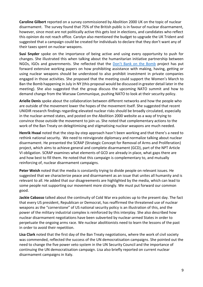**Caroline Gilbert** reported on a survey commissioned by Abolition 2000 UK on the topic of nuclear disarmament. The survey found that 75% of the British public is in favour of nuclear disarmament, however, since most are not politically active this gets lost in elections, and candidates who reflect this opinion do not reach office. Carolyn also mentioned the budget to upgrade the UK Trident and suggested that a campaign could be created for individuals to declare that they don't want any of their taxes spent on nuclear weapons.

**Susi Snyder** spoke on the importance of being active and using every opportunity to push for changes. She illustrated this when talking about the humanitarian initiative partnership between NGOs, IGOs and governments. She reflected that the [Don't Bank on the Bomb](http://dontbankonthebomb.com/) project has put forward extensive working papers on how prohibiting assistance with making, having, getting or using nuclear weapons should be understood to also prohibit investment in private companies engaged in those activities. She proposed that the meeting could support the Women's March to Ban the Bomb happening in July in NY (this proposal would be discussed in greater detail later in the meeting). She also suggested that the group discuss the upcoming NATO summit and how to demand change from the Warsaw Communique, pushing NATO to look at their security policy.

**Arielle Denis** spoke about the collaboration between different networks and how the people who are outside of the movement lower the hopes of the movement itself. She suggested that recent UNIDIR research findings regarding elevated nuclear risks should be broadly circulated, especially in the nuclear-armed states, and posted on the Abolition 2000 website as a way of trying to convince those outside the movement to join us. She noted that complementary actions to the work of the Ban Treaty on delegitimising and stigmatising nuclear weapons are much needed.

**Henrik Hvaal** noted that the step-by-step approach hasn't been working and that there's a need to rethink national security. We need to reinvigorate diplomacy and normalize talking about nuclear disarmament. He presented the SCRAP (Strategic Concept for Removal of Arms and Proliferation) project, which aims to achieve general and complete disarmament (GCD), part of the NPT Article VI obligation. SCRAP examines what elements of GCD are already in place, what gaps there are and how best to fill them. He noted that this campaign is complementary to, and mutually reinforcing of, nuclear disarmament campaigns.

**Peter Weish** noted that the media is constantly trying to divide people on relevant issues. He suggested that we characterize peace and disarmament as an issue that unites all humanity and is relevant to all. He added that our disagreements are highlighted by the media, which can lead to some people not supporting our movement more strongly. We must put forward our common good.

**Jackie Cabasso** talked about the continuity of Cold War era policies up to the present day. The fact that every US president, Republican or Democrat, has reaffirmed the threatened use of nuclear weapons as the "cornerstone" of US national security policy is an illustration of this, and the power of the military industrial complex is reinforced by this interplay. She also described how nuclear disarmament negotiations have been subverted by nuclear-armed States in order to perpetuate the ongoing arms race. We nuclear abolitionists need to learn the lessons of the past in order to avoid their repetition.

**Lisa Clark** noted that the first day of the Ban Treaty negotiations, where the work of civil society was commended, reflected the success of the UN democratisation campaigns. She pointed out the need to change the five power veto system in the UN Security Council and the importance of continuing the UN democratisation campaign. Lisa also briefly reported on current nuclear disarmament campaigns in Italy.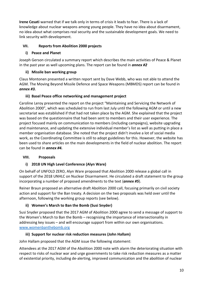**Irene Cesati** warned that if we talk only in terms of crisis it leads to fear. There is a lack of knowledge about nuclear weapons among young people. They have no idea about disarmament, no idea about what comprises real security and the sustainable development goals. We need to link security with development.

## **VII. Reports from Abolition 2000 projects**

#### **i) Peace and Planet**

Joseph Gerson circulated a summary report which describes the main activities of Peace & Planet in the past year as well upcoming plans. The report can be found in *annex #2*

# **ii) Missile ban working group**

Claus Montonen presented a written report sent by Dave Webb, who was not able to attend the AGM. The Moving Beyond Missile Defence and Space Weapons (MBMDS) report can be found in *annex #3.*

#### **iii) Basel Peace office networking and management project**

Caroline Leroy presented the report on the project "Maintaining and Servicing the Network of Abolition 2000", which was scheduled to run from last July until the following AGM or until a new secretariat was established if that had not taken place by the AGM. She explained that the project was based on the questionnaire that had been sent to members and their user experience. The project focused mainly on communication to members (including campaigns), website upgrading and maintenance, and updating the extensive individual member's list as well as putting in place a member organisation database. She noted that the project didn't involve a lot of social media work, as the Coordinating Committee is still to adopt guidelines for this. However, the website has been used to share articles on the main developments in the field of nuclear abolition. The report can be found in *annex #4.*

# **VIII. Proposals**

# **i) 2018 UN High Level Conference (Alyn Ware)**

On behalf of UNFOLD ZERO, Alyn Ware proposed that Abolition 2000 release a global call in support of the 2018 UNHLC on Nuclear Disarmament. He circulated a draft statement to the group incorporating a number of proposed amendments to the text (*annex #5*).

Reiner Braun proposed an alternative draft Abolition 2000 call, focusing primarily on civil society action and support for the Ban treaty. A decision on the two proposals was held over until the afternoon, following the working group reports (see below).

# **ii) Women's March to Ban the Bomb (Susi Snyder)**

Susi Snyder proposed that the 2017 AGM of Abolition 2000 agree to send a message of support to the Women's March to Ban the Bomb – recognising the importance of intersectionality in addressing key issues – and will encourage support from within our own organisations. [www.womenbanthebomb.org](http://www.womenbanthebomb.org/)

# **iii) Support for nuclear risk reduction measures (John Hallam)**

John Hallam proposed that the AGM issue the following statement:

Attendees at the 2017 AGM of the Abolition 2000 note with alarm the deteriorating situation with respect to risks of nuclear war and urge governments to take risk reduction measures as a matter of existential priority, including de-alerting, improved communication and the abolition of nuclear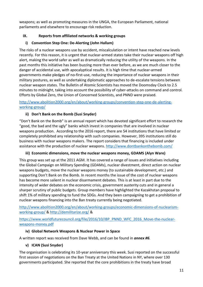weapons; as well as promoting measures in the UNGA, the European Parliament, national parliaments and elsewhere to encourage risk reduction.

#### **IX. Reports from affiliated networks & working groups**

## **i) Convention Step One: De-Alerting (John Hallam)**

The risks of a nuclear weapons use by accident, miscalculation or intent have reached new levels recently. For this reason, it is urgent that nuclear-armed states take their nuclear weapons off high alert, making the world safer as well as dramatically reducing the utility of the weapons. In the past months this initiative has been buzzing more than ever before, as we are much closer to the danger of accidental use, with apocalyptical results. It is high time that nuclear-armed governments make pledges of no-first-use, reducing the importance of nuclear weapons in their military postures, as well as undertaking diplomatic approaches to de-escalate tensions between nuclear weapon states. The Bulletin of Atomic Scientists has moved the Doomsday Clock to 2.5 minutes to midnight, taking into account the possibility of cyber-attacks on command and control. Efforts by Global Zero, the Union of Concerned Scientists, and PNND were praised.

[http://www.abolition2000.org/en/about/working-groups/convention-step-one-de-alerting](http://www.abolition2000.org/en/about/working-groups/convention-step-one-de-alerting-working-group/)[working-group/](http://www.abolition2000.org/en/about/working-groups/convention-step-one-de-alerting-working-group/)

#### **ii) Don't Bank on the Bomb (Susi Snyder)**

"Don't Bank on the Bomb" is an annual report which has devoted significant effort to research the "good, the bad and the ugly" banks which invest in companies that are involved in nuclear weapons production. According to the 2016 report, there are 54 institutions that have limited or completely prohibited any relationship with such companies. However, 395 institutions still do business with nuclear weapons makers. The report considers that financing is included under assistance with the production of nuclear weapons. <http://www.dontbankonthebomb.com/>

#### **iii) Economic dimensions, move the nuclear weapons money, GDAMS (Alyn Ware)**

This group was set up at the 2011 AGM. It has covered a range of issues and initiatives including the Global Campaign on Military Spending (GDAMs), nuclear divestment, direct action on nuclear weapons budgets, move the nuclear weapons money (to sustainable development, etc.) and supporting Don't Bank on the Bomb. In recent months the issue of the cost of nuclear weapons has become more salient in nuclear disarmament debates. This is at least in part due to the intensity of wider debates on the economic crisis, government austerity cuts and in general a sharper scrutiny of public budgets. Group members have highlighted the Kazakhstan proposal to shift 1% of military spending to fund the SDGs. And they been campaigning to get a prohibition of nuclear weapons financing into the Ban treaty currently being negotiated.

[http://www.abolition2000.org/en/about/working-groups/economic-dimensions-of-nuclearism](http://www.abolition2000.org/en/about/working-groups/economic-dimensions-of-nuclearism-working-group/)[working-group/](http://www.abolition2000.org/en/about/working-groups/economic-dimensions-of-nuclearism-working-group/) [& http://demilitarize.org/](http://demilitarize.org/) &

[https://www.worldfuturecouncil.org/file/2016/10/IBP\\_PNND\\_WFC\\_2016\\_Move-the-nuclear](https://www.worldfuturecouncil.org/file/2016/10/IBP_PNND_WFC_2016_Move-the-nuclear-weapons-money.pdf)[weapons-money.pdf](https://www.worldfuturecouncil.org/file/2016/10/IBP_PNND_WFC_2016_Move-the-nuclear-weapons-money.pdf)

#### **iv) Global Network Weapons & Nuclear Power in Space**

A written report was received from Dave Webb, and can be found in *annex #6.*

# **v) ICAN (Susi Snyder)**

The organisation is celebrating its 10-year anniversary this week. Susi reported on the successful first session of negotiations on the Ban Treaty at the United Nations in NY, where over 130 governments participated. She reported that the core prohibitions in the treaty have broad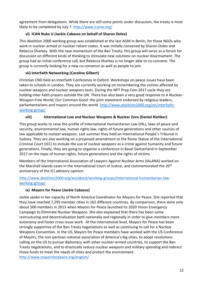agreement from delegations. While there are still some points under discussion, the treaty is most likely to be completed by July 7. <http://www.icanw.org/>

#### **vi) ICAN Nuke U (Jackie Cabasso on behalf of Sharon Dolev)**

This Abolition 2000 working group was established at the last AGM in Berlin, for those NGOs who work in nuclear-armed or nuclear-reliant states. It was initially convened by Sharon Dolev and Rebecca Sharkey. With the new momentum of the Ban Treaty, this group will serve as a forum for discussion on different kinds of thinking to stimulate new solutions on nuclear disarmament. The group had an initial conference call, but Rebecca Sharkey is no longer able to co-convene. The group is currently looking for a new co-convenor as well as people to join

# **vii) Interfaith Networking (Caroline Gilbert)**

Christian CND held an Interfaith Conference in Oxford. Workshops on peace issues have been taken to schools in London. They are currently working on remembering the victims affected by nuclear weapons and nuclear weapons tests. During the NPT Prep Com 2017 cycle they are holding inter-faith prayers outside the UN. There has also been a very good response to A Nuclear-Weapon-Free World; Our Common Good: the joint statement endorsed by religious leaders, parliamentarians and mayors around the world. [http://www.abolition2000.org/en/interfaith](http://www.abolition2000.org/en/interfaith-working-group/)[working-group/](http://www.abolition2000.org/en/interfaith-working-group/)

# **viii) International Law and Nuclear Weapons & Nuclear Zero (Daniel Rietiker)**

This group works to raise the profile of International Humanitarian Law (IHL), laws of peace and security, environmental law, human rights law, rights of future generations and other sources of law applicable to nuclear weapons. Last summer they held an International People's Tribunal in Sydney. They are also working on a proposed amendment to the Rome Statue of the International Criminal Court (ICC) to include the use of nuclear weapons as a crime against humanity and future generations. Finally, they are going to organize a conference in Basel Switzerland in September 2017 on the topic of human rights, future generations and the rights of victims.

Members of the International Association of Lawyers Against Nuclear Arms (IALANA) worked on the Marshall Islands cases in the International Court of Justice, and commemorated the 20<sup>th</sup> anniversary of the ICJ advisory opinion.

[http://www.abolition2000.org/en/about/working-groups/international-humanitarian-law](http://www.abolition2000.org/en/about/working-groups/international-humanitarian-law-working-group/)[working-group/](http://www.abolition2000.org/en/about/working-groups/international-humanitarian-law-working-group/)

# **ix) Mayors for Peace (Jackie Cabasso)**

Jackie spoke in her capacity of North America Coordinator for Mayors for Peace. She reported that they have reached 7,295 member cities in 162 different countries. By comparison, there were only about 500 members in 2013 when Mayors for Peace launched its 2020 Vision Emergency Campaign to Eliminate Nuclear Weapons. She also explained that there has been some restructuring and decentralisation both nationally and regionally in order to give members more autonomy and foster cross-issue work. At the international level, Mayors for Peace has been strongly supportive of the Ban Treaty negotiations as well as continuing to call for a Nuclear Weapons Convention. In the US, Mayors for Peace members have worked with the US Conference of Mayors, the non-partisan national association of America's big cities, to adopt resolutions calling on the US to pursue diplomacy with other nuclear-armed countries, to support the Ban Treaty negotiations, and to drastically reduce nuclear weapons and military spending and redirect those funds to meet the needs of cities and protect the environment. <http://www.mayorsforpeace.org/english/>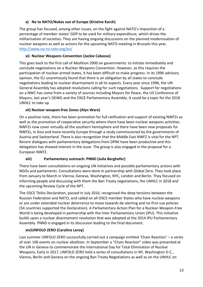## **x) No to NATO/Nukes out of Europe (Kristine Karch)**

The group has focused, among other issues, on the fight against NATO's imposition of a percentage of member states' GDP to be used for military expenditure, which drives the militarisation of societies. They are having ongoing discussions on the planned modernisation of nuclear weapons as well as actions for the upcoming NATO meeting in Brussels this year. <http://www.no-to-nato.org/en/>

#### **xi) Nuclear Weapons Convention (Jackie Cabasso)**

This goes back to the first call of Abolition 2000 on governments: to initiate immediately and conclude negotiations on a Nuclear Weapons Convention. However, as this requires the participation of nuclear-armed states, it has been difficult to make progress. In its 1996 advisory opinion, the ICJ unanimously found that there is an obligation by all states to conclude negotiations leading to nuclear disarmament in all its aspects. Every year since 1996, the UN General Assembly has adopted resolutions calling for such negotiations. Support for negotiations on a NWC has come from a variety of sources including Mayors for Peace, the US Conference of Mayors, last year's OEWG and the OSCE Parliamentary Assembly. It could be a topic for the 2018 UNHLC to take up.

#### **xii) Nuclear-weapon-free Zones (Alyn Ware)**

On a positive note, there has been promotion for full ratification and support of existing NWFZs as well as the promotion of cooperative security where there have been nuclear weapons activities. NWFZs now cover virtually all the southern hemisphere and there have been new proposals for NWFZs, in Asia and more recently Europe through a study commissioned by the governments of Austria and Switzerland. There is also recognition that the Middle East NWFZ is vital for the NPT. Recent dialogues with parliamentary delegations from DPRK have been productive and this delegation has showed interest in the issue. The group is also engaged in the proposal for a European NWFZ.

#### **xiii) Parliamentary outreach: PNND (Julia Berghofer)**

There have been consultations on ongoing UN initiatives and possible parliamentary actions with NGOs and parliaments. Consultations were done in partnership with Global Zero. They took place from January to March in Vienna, Geneva, Washington, NYC, London and Berlin. They focused on informing people and discussing with them the Ban Treaty negotiations, the UNHLC in 2018 and the upcoming Review Cycle of the NPT.

The OSCE Tbilisi Declaration, passed in July 2016, recognised the deep tensions between the Russian Federation and NATO, and called on all OSCE member States who have nuclear weapons or are under extended nuclear deterrence to move towards de-alerting and no-first-use policies (54 countries supported the Declaration). A Parliamentary Action Plan for a Nuclear-Weapon-Free World is being developed in partnership with the Inter Parliamentary Union (IPU). This initiative builds upon a nuclear disarmament resolution that was adopted at the 2014 IPU Parliamentary Assembly. PNND is engaged in its discussion leading to the final document.

#### **xiv)UNFOLD ZERO (Caroline Leroy)**

Last summer UNFOLD ZERO successfully carried out a campaign entitled 'Chain Reaction' – a series of over 100 events on nuclear abolition. In September a "Chain Reaction" video was presented at the UN in Geneva to commemorate the International Day for Total Elimination of Nuclear Weapons. Early in 2017, UNFOLD ZERO held a series of consultations in NY, Washington D.C., Vienna, Berlin and Geneva on the ongoing Ban Treaty Negotiations as well as on the UNHLC on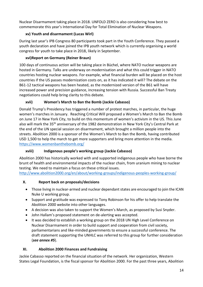Nuclear Disarmament taking place in 2018. UNFOLD ZERO is also considering how best to commemorate this year's International Day for Total Elimination of Nuclear Weapons.

# **xv) Youth and disarmament (Lucas Wirl)**

During last year's IPB Congress 80 participants took part in the Youth Conference. They passed a youth declaration and have joined the IPB youth network which is currently organising a world congress for youth to take place in 2018, likely in September.

# **xvi)Report on Germany (Reiner Braun)**

100 days of continuous action will be taking place in Büchel, where NATO nuclear weapons are hosted in Germany. Talks are underway on modernisation and what this could trigger in NATO countries hosting nuclear weapons. For example, what financial burden will be placed on the host countries if the US passes modernization costs on, as it has indicated it will? The debate on the B61-12 tactical weapons has been heated, as the modernized version of the B61 will have increased power and precision guidance, increasing tension with Russia. Successful Ban Treaty negotiations could help bring clarity to this debate.

# **xvii) Women's March to Ban the Bomb (Jackie Cabasso)**

Donald Trump's Presidency has triggered a number of protest marches, in particular, the huge women's marches in January. Reaching Critical Will proposed a Women's March to Ban the Bomb on June 17 in New York City, to build on this momentum of women's activism in the US. This June also will mark the 35<sup>th</sup> anniversary of the 1982 demonstration in New York City's Central Park at the end of the UN special session on disarmament, which brought a million people into the streets. Abolition 2000 is a sponsor of the Women's March to Ban the Bomb, having contributed USD 1,500 to help the march to get more supporters and bring more attention in the media. <https://www.womenbanthebomb.org/>

# **xviii) Indigenous people's working group (Jackie Cabasso)**

Abolition 2000 has historically worked with and supported indigenous people who have borne the brunt of health and environmental impacts of the nuclear chain, from uranium mining to nuclear testing. We need to maintain a focus on these critical issues.

<http://www.abolition2000.org/en/about/working-groups/indigenous-peoples-working-group/>

# **X. Report back on proposals/decisions**

- Those living in nuclear-armed and nuclear dependant states are encouraged to join the ICAN Nuke U working group.
- Support and gratitude was expressed to Tony Robinson for his offer to help translate the Abolition 2000 website into other languages.
- A decision was also taken to support the Women's March, as proposed by Susi Snyder.
- John Hallam's proposed statement on de-alerting was accepted.
- It was decided to establish a working group on the 2018 UN High Level Conference on Nuclear Disarmament in order to build support and cooperation from civil society, parliamentarians and like-minded governments to ensure a successful conference. The draft statement supporting the UNHLC was referred to this group for further consideration (*see annex #5*).

# **XI. Abolition 2000 Finances and Fundraising**

Jackie Cabasso reported on the financial situation of the network. Her organization, Western States Legal Foundation, is the fiscal sponsor for Abolition 2000. For the past three years, Abolition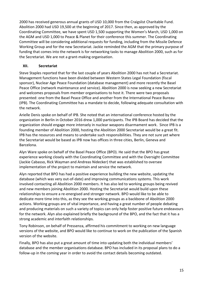2000 has received generous annual grants of USD 10,000 from the Craigslist Charitable Fund. Abolition 2000 had USD 19,500 at the beginning of 2017. Since then, as approved by the Coordinating Committee, we have spent USD 1,500 supporting the Women's March, USD 1,000 on the AGM and USD 1,000 to Peace & Planet for their conference this summer. The Coordinating Committee will be considering additional requests for funding, including from the Missile Defence Working Group and for the new Secretariat. Jackie reminded the AGM that the primary purpose of funding that comes into the network is for networking tasks to manage Abolition 2000, such as for the Secretariat. We are not a grant-making organisation.

#### **XII. Secretariat**

Steve Staples reported that for the last couple of years Abolition 2000 has not had a Secretariat. Management functions have been divided between Western States Legal Foundation (fiscal sponsor), Nuclear Age Peace Foundation (database management) and more recently the Basel Peace Office (network maintenance and service). Abolition 2000 is now seeking a new Secretariat and welcomes proposals from member organisations to host it. There were two proposals presented: one from the Basel Peace Office and another from the International Peace Bureau (IPB). The Coordinating Committee has a mandate to decide, following adequate consultation with the network.

Arielle Denis spoke on behalf of IPB. She noted that an international conference hosted by the organization in Berlin in October 2016 drew 1,000 participants. The IPB Board has decided that the organization should engage more intensely in nuclear weapons disarmament work. Since IPB is a founding member of Abolition 2000, hosting the Abolition 2000 Secretariat would be a great fit. IPB has the resources and means to undertake such responsibilities. They are not sure yet where the Secretariat would be based as IPB now has offices in three cities, Berlin, Geneva and Barcelona.

Alyn Ware spoke on behalf of the Basel Peace Office (BPO). He said that the BPO has great experience working closely with the Coordinating Committee and with the Oversight Committee (Jackie Cabasso, Rick Wayman and Andreas Nidecker) that was established to oversee implementation of the project to maintain and service the network.

Alyn reported that BPO has had a positive experience building the new website, updating the database (which was very out-of-date) and improving communications systems. This work involved contacting all Abolition 2000 members. It has also led to working groups being revived and new members joining Abolition 2000. Hosting the Secretariat would build upon these relationships to ensure a re-energised and stronger network. BPO would like to be able to dedicate more time into this, as they see the working groups as a backbone of Abolition 2000 actions. Working groups are of vital importance, and having a great number of people debating and producing materials on such a variety of topics can only help foster positive future endeavours for the network. Alyn also explained briefly the background of the BPO, and the fact that it has a strong academic and interfaith relationships.

Tony Robinson, on behalf of Pressenza, affirmed his commitment to working on new language versions of the website, and BPO would like to continue to work on the publication of the Spanish version of the website.

Finally, BPO has also put a great amount of time into updating both the individual members' database and the member organisations database. BPO has included in its proposal plans to do a follow-up in the coming year in order to avoid the contact details becoming outdated.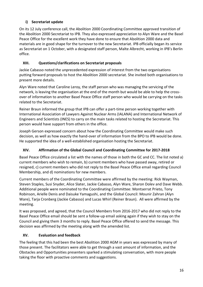# **i) Secretariat update**

On its 12 July conference call, the Abolition 2000 Coordinating Committee approved transition of the Abolition 2000 Secretariat to IPB. They also expressed appreciation to Alyn Ware and the Basel Peace Office for the excellent work they have done to ensure that Abolition 2000 data and materials are in good shape for the turnover to the new Secretariat. IPB officially began its service as Secretariat on 1 October, with a designated staff person, Malte Albrecht, working in IPB's Berlin office.

# **XIII. Questions/clarifications on Secretariat proposals**

Jackie Cabasso noted the unprecedented expression of interest from the two organisations putting forward proposals to host the Abolition 2000 secretariat. She invited both organisations to present more details.

Alyn Ware noted that Caroline Leroy, the staff person who was managing the servicing of the network, is leaving the organisation at the end of the month but would be able to help the crossover of information to another Basel Peace Office staff person who would be carrying on the tasks related to the Secretariat.

Reiner Braun informed the group that IPB can offer a part-time person working together with International Association of Lawyers Against Nuclear Arms (IALANA) and International Network of Engineers and Scientists (INES) to carry on the main tasks related to hosting the Secretariat. This person would have support from others in the office.

Joseph Gerson expressed concern about how the Coordinating Committee would make such decision, as well as how exactly the hand-over of information from the BPO to IPB would be done. He supported the idea of a well-established organisation hosting the Secretariat.

# **XIV. Affirmation of the Global Council and Coordinating Committee for 2017-2018**

Basel Peace Office circulated a list with the names of those in both the GC and CC. The list noted a) current members who wish to remain, b) current members who have passed away, retired or resigned, c) current members who did not reply to the Basel Peace Office email regarding Council Membership, and d) nominations for new members.

Current members of the Coordinating Committee were affirmed by the meeting: Rick Wayman, Steven Staples, Susi Snyder, Alice Slater, Jackie Cabasso, Alyn Ware, Sharon Dolev and Dave Webb. Additional people were nominated to the Coordinating Committee: Montserrat Prieto, Tony Robinson, Arielle Denis and Daisuke Yamagushi, and the Global Council: Mounir Zahran (Alyn Ware), Tarja Cronberg (Jackie Cabasso) and Lucas Whirl (Reiner Braun). All were affirmed by the meeting.

It was proposed, and agreed, that the Council Members from 2016-2017 who did not reply to the Basel Peace Office email should be sent a follow-up email asking again if they wish to stay on the Council and giving them 3 months to reply. Basel Peace Office offered to send the message. This decision was affirmed by the meeting along with the amended list.

# **XV. Evaluation and feedback**

The feeling that this had been the best Abolition 2000 AGM in years was expressed by many of those present. The facilitators were able to get through a vast amount of information, and the Obstacles and Opportunities presenters sparked a stimulating conversation, with more people taking the floor with proactive comments and suggestions.